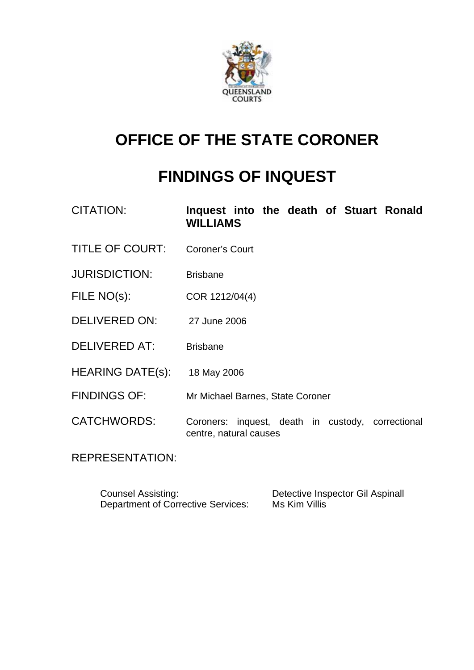

# **OFFICE OF THE STATE CORONER**

# **FINDINGS OF INQUEST**

| CITATION:               | Inquest into the death of Stuart Ronald<br><b>WILLIAMS</b>                  |
|-------------------------|-----------------------------------------------------------------------------|
| <b>TITLE OF COURT:</b>  | <b>Coroner's Court</b>                                                      |
| <b>JURISDICTION:</b>    | <b>Brisbane</b>                                                             |
| FILE NO(s):             | COR 1212/04(4)                                                              |
| DELIVERED ON:           | 27 June 2006                                                                |
| <b>DELIVERED AT:</b>    | <b>Brisbane</b>                                                             |
| <b>HEARING DATE(s):</b> | 18 May 2006                                                                 |
| <b>FINDINGS OF:</b>     | Mr Michael Barnes, State Coroner                                            |
| <b>CATCHWORDS:</b>      | Coroners: inquest, death in custody, correctional<br>centre, natural causes |

REPRESENTATION:

| <b>Counsel Assisting:</b>                 | Detective Inspector Gil Aspinall |
|-------------------------------------------|----------------------------------|
| <b>Department of Corrective Services:</b> | Ms Kim Villis                    |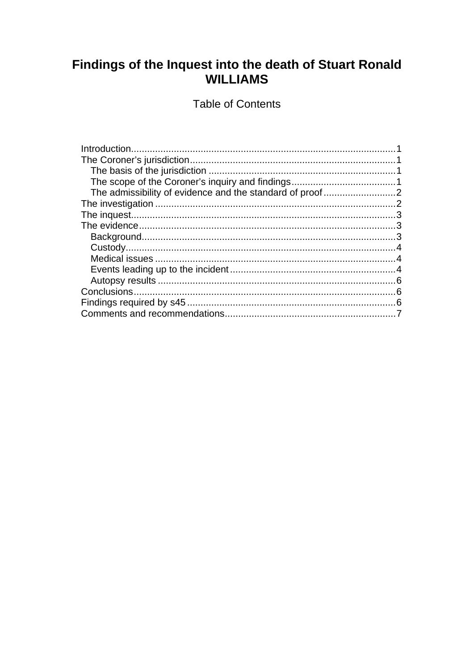# Findings of the Inquest into the death of Stuart Ronald **WILLIAMS**

**Table of Contents**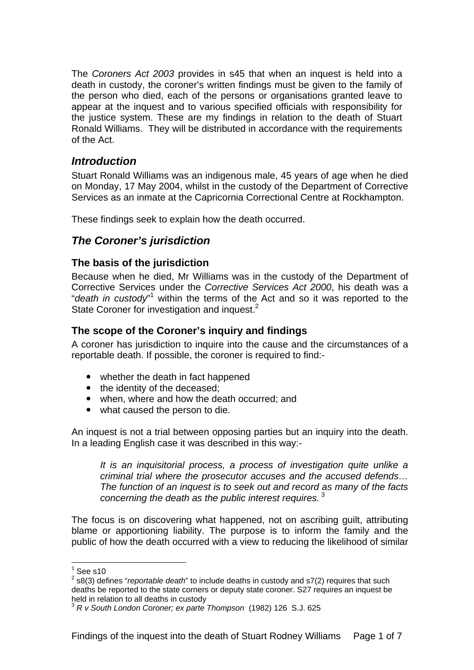The *Coroners Act 2003* provides in s45 that when an inquest is held into a death in custody, the coroner's written findings must be given to the family of the person who died, each of the persons or organisations granted leave to appear at the inquest and to various specified officials with responsibility for the justice system. These are my findings in relation to the death of Stuart Ronald Williams. They will be distributed in accordance with the requirements of the Act.

# *Introduction*

Stuart Ronald Williams was an indigenous male, 45 years of age when he died on Monday, 17 May 2004, whilst in the custody of the Department of Corrective Services as an inmate at the Capricornia Correctional Centre at Rockhampton.

These findings seek to explain how the death occurred.

# *The Coroner's jurisdiction*

#### **The basis of the jurisdiction**

Because when he died, Mr Williams was in the custody of the Department of Corrective Services under the *Corrective Services Act 2000*, his death was a "*death in custody*" within the terms of the Act and so it was reported to the State Coroner for investigation and inquest.<sup>2</sup>

# **The scope of the Coroner's inquiry and findings**

A coroner has jurisdiction to inquire into the cause and the circumstances of a reportable death. If possible, the coroner is required to find:-

- $\bullet$  whether the death in fact happened
- the identity of the deceased;
- when, where and how the death occurred; and
- what caused the person to die.

An inquest is not a trial between opposing parties but an inquiry into the death. In a leading English case it was described in this way:-

*It is an inquisitorial process, a process of investigation quite unlike a criminal trial where the prosecutor accuses and the accused defends… The function of an inquest is to seek out and record as many of the facts concerning the death as the public interest requires.*<sup>3</sup>

The focus is on discovering what happened, not on ascribing guilt, attributing blame or apportioning liability. The purpose is to inform the family and the public of how the death occurred with a view to reducing the likelihood of similar

l  $1$  See s10

<sup>2</sup> s8(3) defines "*reportable death*" to include deaths in custody and s7(2) requires that such deaths be reported to the state corners or deputy state coroner. S27 requires an inquest be held in relation to all deaths in custody

<sup>3</sup> *R v South London Coroner; ex parte Thompson* (1982) 126 S.J. 625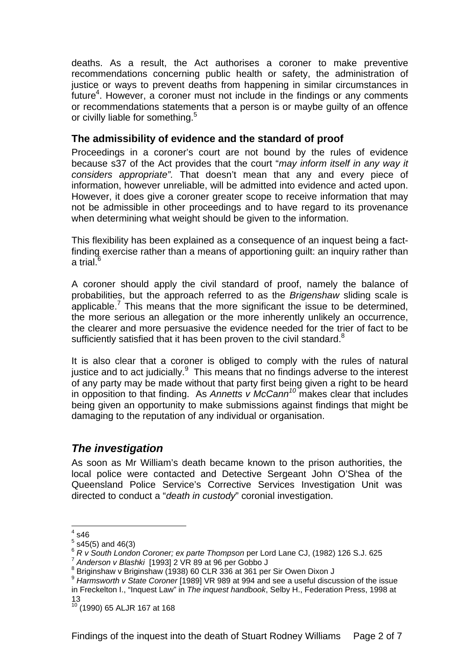deaths. As a result, the Act authorises a coroner to make preventive recommendations concerning public health or safety, the administration of justice or ways to prevent deaths from happening in similar circumstances in future<sup>4</sup>. However, a coroner must not include in the findings or any comments or recommendations statements that a person is or maybe guilty of an offence or civilly liable for something.<sup>5</sup>

#### **The admissibility of evidence and the standard of proof**

Proceedings in a coroner's court are not bound by the rules of evidence because s37 of the Act provides that the court "*may inform itself in any way it considers appropriate".* That doesn't mean that any and every piece of information, however unreliable, will be admitted into evidence and acted upon. However, it does give a coroner greater scope to receive information that may not be admissible in other proceedings and to have regard to its provenance when determining what weight should be given to the information.

This flexibility has been explained as a consequence of an inquest being a factfinding exercise rather than a means of apportioning guilt: an inquiry rather than a trial. $^6$ 

A coroner should apply the civil standard of proof, namely the balance of probabilities, but the approach referred to as the *Brigenshaw* sliding scale is applicable.<sup>7</sup> This means that the more significant the issue to be determined, the more serious an allegation or the more inherently unlikely an occurrence, the clearer and more persuasive the evidence needed for the trier of fact to be sufficiently satisfied that it has been proven to the civil standard. $8$ 

It is also clear that a coroner is obliged to comply with the rules of natural justice and to act judicially. $9$  This means that no findings adverse to the interest of any party may be made without that party first being given a right to be heard in opposition to that finding. As *Annetts v McCann<sup>10</sup>* makes clear that includes being given an opportunity to make submissions against findings that might be damaging to the reputation of any individual or organisation.

# *The investigation*

As soon as Mr William's death became known to the prison authorities, the local police were contacted and Detective Sergeant John O'Shea of the Queensland Police Service's Corrective Services Investigation Unit was directed to conduct a "*death in custody*" coronial investigation.

 $4 \overline{\smash{646}}$ 

 $5$  s45(5) and 46(3)

<sup>&</sup>lt;sup>6</sup> *R v South London Coroner; ex parte Thompson* per Lord Lane CJ, (1982) 126 S.J. 625<br><sup>7</sup> Anderson v Blashki [1993] 2 VR 89 at 96 per Gobbo J

<sup>8</sup> Briginshaw v Briginshaw (1938) 60 CLR 336 at 361 per Sir Owen Dixon J

<sup>9</sup> *Harmsworth v State Coroner* [1989] VR 989 at 994 and see a useful discussion of the issue in Freckelton I., "Inquest Law" in *The inquest handbook*, Selby H., Federation Press, 1998 at 13

 $10^{10}$  (1990) 65 ALJR 167 at 168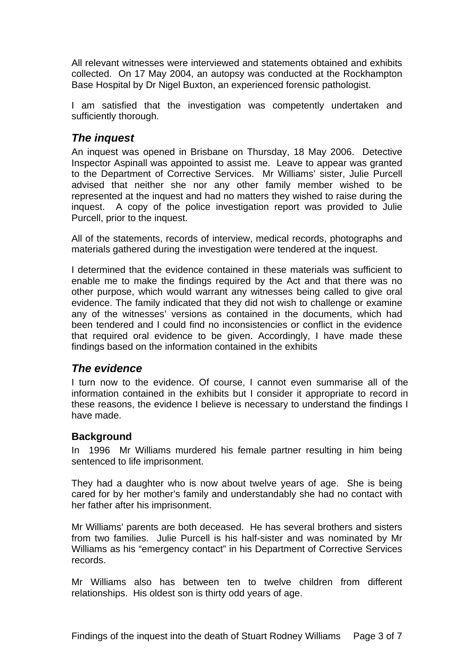All relevant witnesses were interviewed and statements obtained and exhibits collected. On 17 May 2004, an autopsy was conducted at the Rockhampton Base Hospital by Dr Nigel Buxton, an experienced forensic pathologist.

I am satisfied that the investigation was competently undertaken and sufficiently thorough.

# *The inquest*

An inquest was opened in Brisbane on Thursday, 18 May 2006. Detective Inspector Aspinall was appointed to assist me. Leave to appear was granted to the Department of Corrective Services. Mr Williams' sister, Julie Purcell advised that neither she nor any other family member wished to be represented at the inquest and had no matters they wished to raise during the inquest. A copy of the police investigation report was provided to Julie Purcell, prior to the inquest.

All of the statements, records of interview, medical records, photographs and materials gathered during the investigation were tendered at the inquest.

I determined that the evidence contained in these materials was sufficient to enable me to make the findings required by the Act and that there was no other purpose, which would warrant any witnesses being called to give oral evidence. The family indicated that they did not wish to challenge or examine any of the witnesses' versions as contained in the documents, which had been tendered and I could find no inconsistencies or conflict in the evidence that required oral evidence to be given. Accordingly, I have made these findings based on the information contained in the exhibits

# *The evidence*

I turn now to the evidence. Of course, I cannot even summarise all of the information contained in the exhibits but I consider it appropriate to record in these reasons, the evidence I believe is necessary to understand the findings I have made.

# **Background**

In 1996 Mr Williams murdered his female partner resulting in him being sentenced to life imprisonment.

They had a daughter who is now about twelve years of age. She is being cared for by her mother's family and understandably she had no contact with her father after his imprisonment.

Mr Williams' parents are both deceased. He has several brothers and sisters from two families. Julie Purcell is his half-sister and was nominated by Mr Williams as his "emergency contact" in his Department of Corrective Services records.

Mr Williams also has between ten to twelve children from different relationships. His oldest son is thirty odd years of age.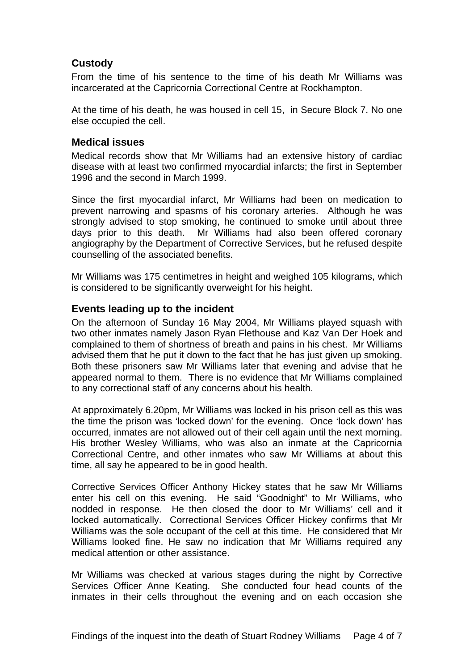#### **Custody**

From the time of his sentence to the time of his death Mr Williams was incarcerated at the Capricornia Correctional Centre at Rockhampton.

At the time of his death, he was housed in cell 15, in Secure Block 7. No one else occupied the cell.

#### **Medical issues**

Medical records show that Mr Williams had an extensive history of cardiac disease with at least two confirmed myocardial infarcts; the first in September 1996 and the second in March 1999.

Since the first myocardial infarct, Mr Williams had been on medication to prevent narrowing and spasms of his coronary arteries. Although he was strongly advised to stop smoking, he continued to smoke until about three days prior to this death. Mr Williams had also been offered coronary angiography by the Department of Corrective Services, but he refused despite counselling of the associated benefits.

Mr Williams was 175 centimetres in height and weighed 105 kilograms, which is considered to be significantly overweight for his height.

#### **Events leading up to the incident**

On the afternoon of Sunday 16 May 2004, Mr Williams played squash with two other inmates namely Jason Ryan Flethouse and Kaz Van Der Hoek and complained to them of shortness of breath and pains in his chest. Mr Williams advised them that he put it down to the fact that he has just given up smoking. Both these prisoners saw Mr Williams later that evening and advise that he appeared normal to them. There is no evidence that Mr Williams complained to any correctional staff of any concerns about his health.

At approximately 6.20pm, Mr Williams was locked in his prison cell as this was the time the prison was 'locked down' for the evening. Once 'lock down' has occurred, inmates are not allowed out of their cell again until the next morning. His brother Wesley Williams, who was also an inmate at the Capricornia Correctional Centre, and other inmates who saw Mr Williams at about this time, all say he appeared to be in good health.

Corrective Services Officer Anthony Hickey states that he saw Mr Williams enter his cell on this evening. He said "Goodnight" to Mr Williams, who nodded in response. He then closed the door to Mr Williams' cell and it locked automatically. Correctional Services Officer Hickey confirms that Mr Williams was the sole occupant of the cell at this time. He considered that Mr Williams looked fine. He saw no indication that Mr Williams required any medical attention or other assistance.

Mr Williams was checked at various stages during the night by Corrective Services Officer Anne Keating. She conducted four head counts of the inmates in their cells throughout the evening and on each occasion she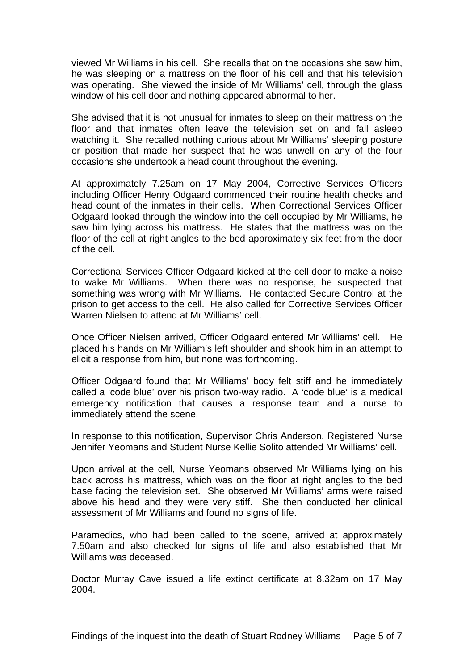viewed Mr Williams in his cell. She recalls that on the occasions she saw him, he was sleeping on a mattress on the floor of his cell and that his television was operating. She viewed the inside of Mr Williams' cell, through the glass window of his cell door and nothing appeared abnormal to her.

She advised that it is not unusual for inmates to sleep on their mattress on the floor and that inmates often leave the television set on and fall asleep watching it. She recalled nothing curious about Mr Williams' sleeping posture or position that made her suspect that he was unwell on any of the four occasions she undertook a head count throughout the evening.

At approximately 7.25am on 17 May 2004, Corrective Services Officers including Officer Henry Odgaard commenced their routine health checks and head count of the inmates in their cells. When Correctional Services Officer Odgaard looked through the window into the cell occupied by Mr Williams, he saw him lying across his mattress. He states that the mattress was on the floor of the cell at right angles to the bed approximately six feet from the door of the cell.

Correctional Services Officer Odgaard kicked at the cell door to make a noise to wake Mr Williams. When there was no response, he suspected that something was wrong with Mr Williams. He contacted Secure Control at the prison to get access to the cell. He also called for Corrective Services Officer Warren Nielsen to attend at Mr Williams' cell.

Once Officer Nielsen arrived, Officer Odgaard entered Mr Williams' cell. He placed his hands on Mr William's left shoulder and shook him in an attempt to elicit a response from him, but none was forthcoming.

Officer Odgaard found that Mr Williams' body felt stiff and he immediately called a 'code blue' over his prison two-way radio. A 'code blue' is a medical emergency notification that causes a response team and a nurse to immediately attend the scene.

In response to this notification, Supervisor Chris Anderson, Registered Nurse Jennifer Yeomans and Student Nurse Kellie Solito attended Mr Williams' cell.

Upon arrival at the cell, Nurse Yeomans observed Mr Williams lying on his back across his mattress, which was on the floor at right angles to the bed base facing the television set. She observed Mr Williams' arms were raised above his head and they were very stiff. She then conducted her clinical assessment of Mr Williams and found no signs of life.

Paramedics, who had been called to the scene, arrived at approximately 7.50am and also checked for signs of life and also established that Mr Williams was deceased.

Doctor Murray Cave issued a life extinct certificate at 8.32am on 17 May 2004.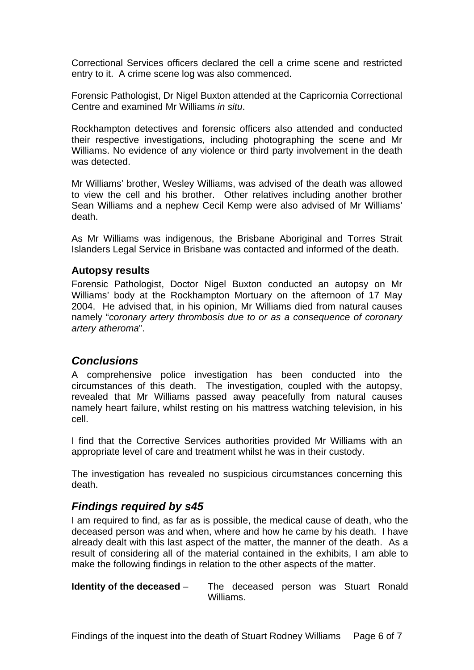Correctional Services officers declared the cell a crime scene and restricted entry to it. A crime scene log was also commenced.

Forensic Pathologist, Dr Nigel Buxton attended at the Capricornia Correctional Centre and examined Mr Williams *in situ*.

Rockhampton detectives and forensic officers also attended and conducted their respective investigations, including photographing the scene and Mr Williams. No evidence of any violence or third party involvement in the death was detected.

Mr Williams' brother, Wesley Williams, was advised of the death was allowed to view the cell and his brother. Other relatives including another brother Sean Williams and a nephew Cecil Kemp were also advised of Mr Williams' death.

As Mr Williams was indigenous, the Brisbane Aboriginal and Torres Strait Islanders Legal Service in Brisbane was contacted and informed of the death.

#### **Autopsy results**

Forensic Pathologist, Doctor Nigel Buxton conducted an autopsy on Mr Williams' body at the Rockhampton Mortuary on the afternoon of 17 May 2004. He advised that, in his opinion, Mr Williams died from natural causes namely "*coronary artery thrombosis due to or as a consequence of coronary artery atheroma*".

#### *Conclusions*

A comprehensive police investigation has been conducted into the circumstances of this death. The investigation, coupled with the autopsy, revealed that Mr Williams passed away peacefully from natural causes namely heart failure, whilst resting on his mattress watching television, in his cell.

I find that the Corrective Services authorities provided Mr Williams with an appropriate level of care and treatment whilst he was in their custody.

The investigation has revealed no suspicious circumstances concerning this death.

#### *Findings required by s45*

I am required to find, as far as is possible, the medical cause of death, who the deceased person was and when, where and how he came by his death. I have already dealt with this last aspect of the matter, the manner of the death. As a result of considering all of the material contained in the exhibits, I am able to make the following findings in relation to the other aspects of the matter.

**Identity of the deceased** – The deceased person was Stuart Ronald Williams.